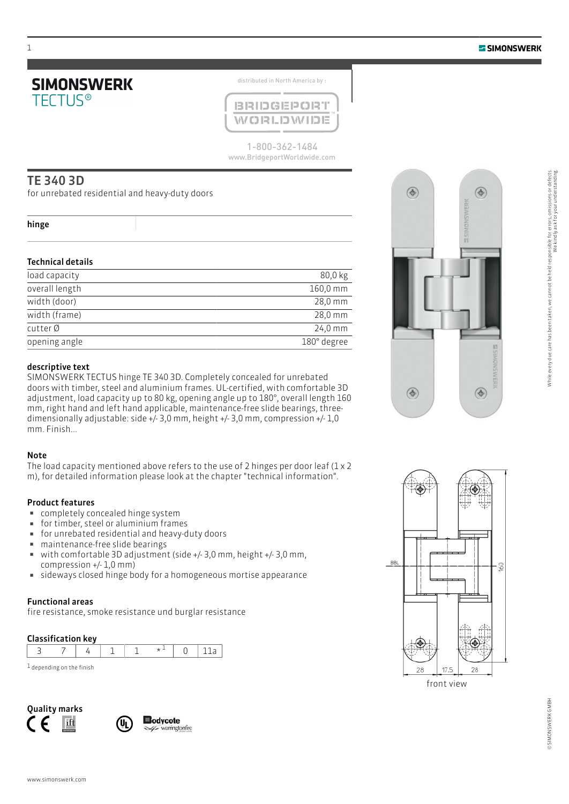

distributed in North America by :



1-800-362-1484 www.BridgeportWorldwide.com

## TE 340 3D

for unrebated residential and heavy-duty doors

#### hinge

## Technical details

| load capacity  | 80,0 kg              |
|----------------|----------------------|
| overall length | $160,0 \, \text{mm}$ |
| width (door)   | $28,0 \, \text{mm}$  |
| width (frame)  | $28,0 \, \text{mm}$  |
| cutter Ø       | $24,0 \, \text{mm}$  |
| opening angle  | 180° degree          |

#### descriptive text

SIMONSWERK TECTUS hinge TE 340 3D. Completely concealed for unrebated doors with timber, steel and aluminium frames. UL-certified, with comfortable 3D adjustment, load capacity up to 80 kg, opening angle up to 180°, overall length 160 mm, right hand and left hand applicable, maintenance-free slide bearings, threedimensionally adjustable: side +/- 3,0 mm, height +/- 3,0 mm, compression +/- 1,0 mm. Finish...

### Note

The load capacity mentioned above refers to the use of 2 hinges per door leaf  $(1 \times 2)$ m), for detailed information please look at the chapter "technical information".

### Product features

- completely concealed hinge system
- **·** for timber, steel or aluminium frames
- for unrebated residential and heavy-duty doors
- **■** maintenance-free slide bearings
- $\bullet$  with comfortable 3D adjustment (side +/- 3,0 mm, height +/- 3,0 mm, compression +/- 1,0 mm)
- **Example 2** sideways closed hinge body for a homogeneous mortise appearance

#### Functional areas

fire resistance, smoke resistance und burglar resistance

### Classification key

| $1$ depending on the finish |  |  |  |  |  |  |  |
|-----------------------------|--|--|--|--|--|--|--|









front view

1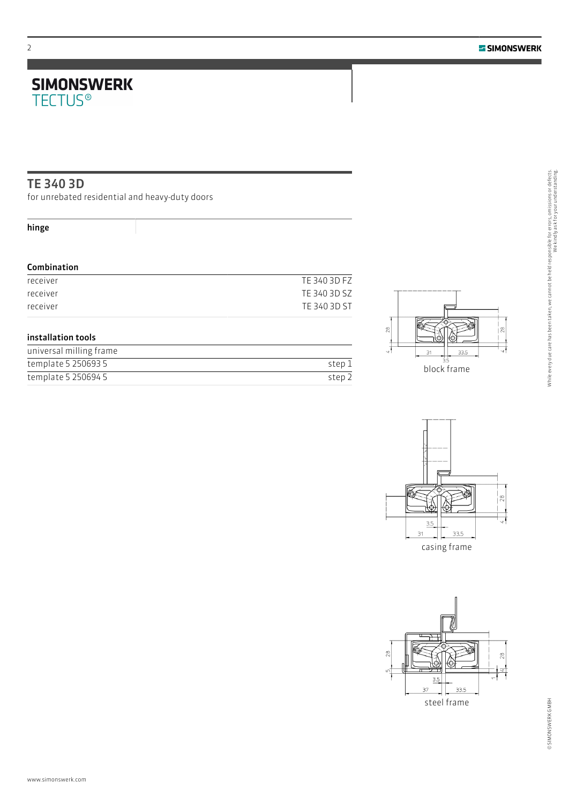# **SIMONSWERK**<br>TECTUS®

## TE 340 3D

for unrebated residential and heavy-duty doors

## hinge

## Combination

| receiver | TE 340 3D FZ |
|----------|--------------|
| receiver | TE 340 3D SZ |
| receiver | TE 340 3D ST |

## installation tools

| universal milling frame |        |
|-------------------------|--------|
| template 5 250693 5     | step 1 |
| template 5 250694 5     | step 2 |





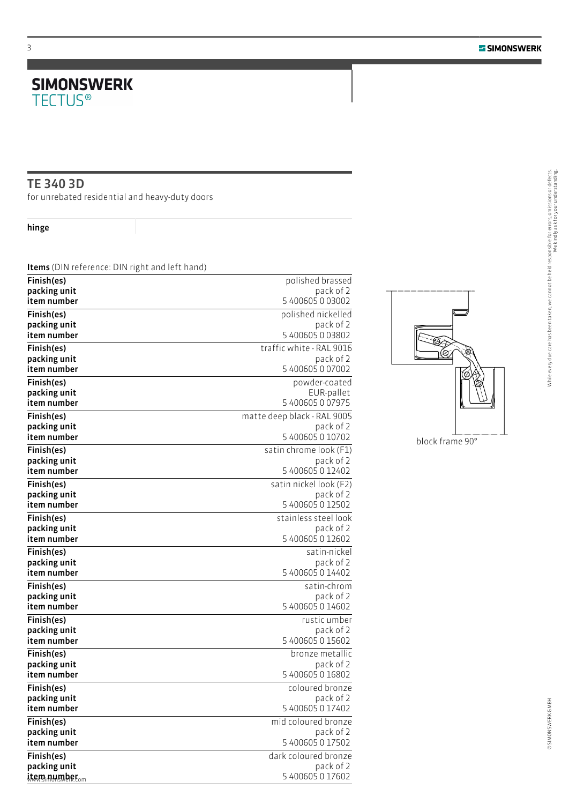We kindly ask for your understanding.

While every due care has been taken, we cannot be held responsible for errors, omissions or defects.<br>While every due care has been taken, we cannot be held responsible for errors, omissions or defects.

# **SIMONSWERK**<br>TECTUS®

## TE 340 3D

for unrebated residential and heavy-duty doors

hinge

Items (DIN reference: DIN right and left hand)

| Finish(es)                                | polished brassed                           |
|-------------------------------------------|--------------------------------------------|
| packing unit<br>item number               | pack of 2<br>5 400605 0 03002              |
| Finish(es)                                | polished nickelled                         |
| packing unit                              | pack of 2                                  |
| item number                               | 5 400605 0 03802                           |
| Finish(es)                                | traffic white - RAL 9016                   |
| packing unit<br>item number               | pack of 2<br>5 400605 0 07002              |
| Finish(es)                                | powder-coated                              |
| packing unit                              | EUR-pallet                                 |
| item number                               | 5 400605 0 07975                           |
| Finish(es)<br>packing unit                | matte deep black - RAL 9005<br>pack of 2   |
| item number                               | 5 400605 0 10702                           |
| Finish(es)                                | satin chrome look (F1)                     |
| packing unit                              | pack of 2                                  |
| item number                               | 5 400605 0 12402<br>satin nickel look (F2) |
| Finish(es)<br>packing unit                | pack of 2                                  |
| item number                               | 5 400605 0 12502                           |
| Finish(es)                                | stainless steel look                       |
| packing unit<br>item number               | pack of 2<br>5 400605 0 12602              |
| Finish(es)                                | satin-nickel                               |
| packing unit                              | pack of 2                                  |
| item number                               | 5 400605 0 14402                           |
| Finish(es)                                | satin-chrom                                |
| packing unit<br>item number               | pack of 2<br>5 400605 0 14602              |
| Finish(es)                                | rustic umber                               |
| packing unit                              | pack of 2                                  |
| item number                               | 5 400605 0 15602<br>bronze metallic        |
| Finish(es)<br>packing unit                | pack of 2                                  |
| item number                               | 5 400605 0 16802                           |
| Finish(es)                                | coloured bronze                            |
| packing unit<br>item number               | pack of 2<br>5 400605 0 17402              |
| Finish(es)                                | mid coloured bronze                        |
| packing unit                              | pack of 2                                  |
| item number                               | 5 400605 0 17502                           |
| Finish(es)                                | dark coloured bronze                       |
| packing unit<br>item number <sub>om</sub> | pack of 2<br>5 400605 0 17602              |
|                                           |                                            |



block frame 90°